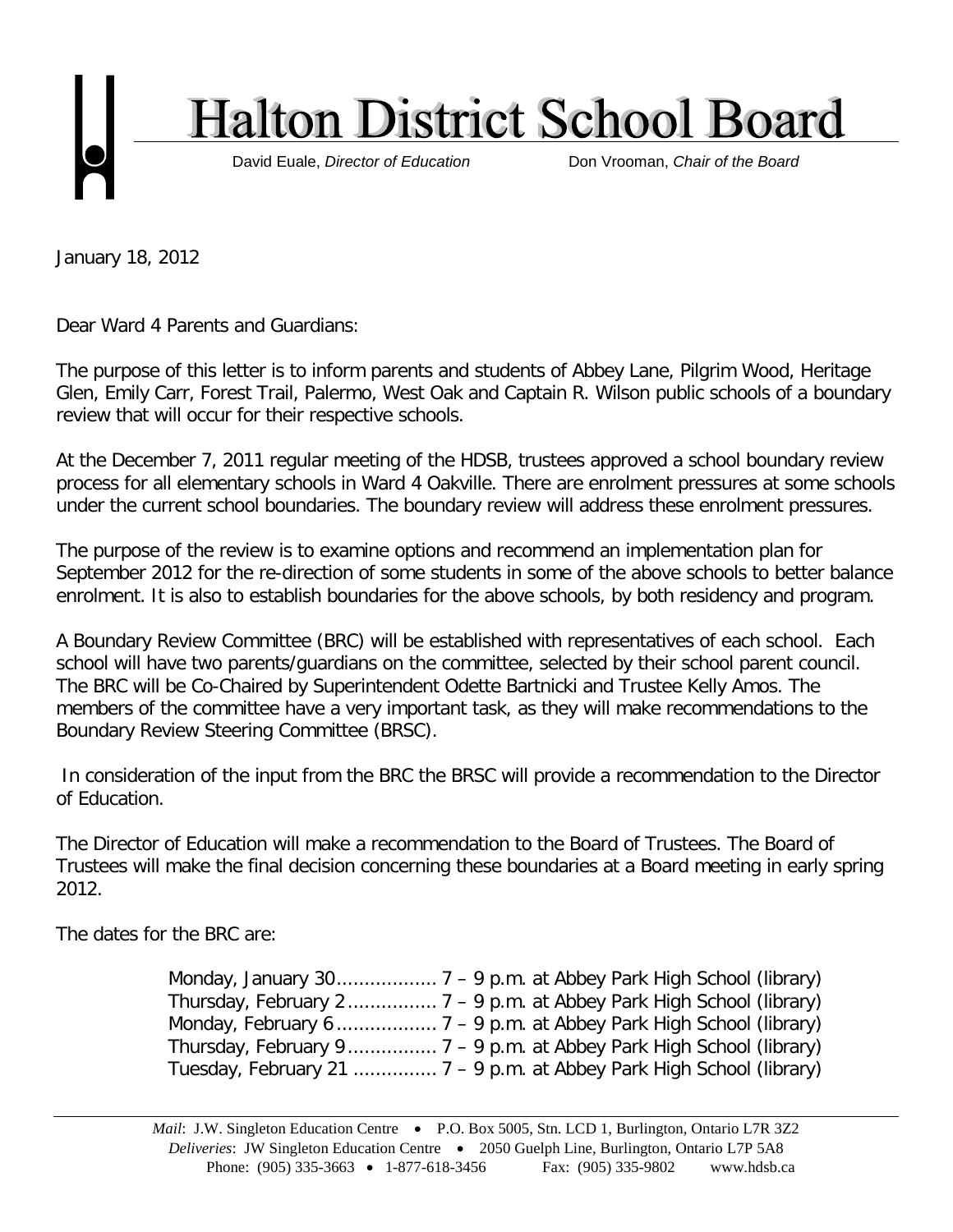

January 18, 2012

Dear Ward 4 Parents and Guardians:

The purpose of this letter is to inform parents and students of Abbey Lane, Pilgrim Wood, Heritage Glen, Emily Carr, Forest Trail, Palermo, West Oak and Captain R. Wilson public schools of a boundary review that will occur for their respective schools.

At the December 7, 2011 regular meeting of the HDSB, trustees approved a school boundary review process for all elementary schools in Ward 4 Oakville. There are enrolment pressures at some schools under the current school boundaries. The boundary review will address these enrolment pressures.

The purpose of the review is to examine options and recommend an implementation plan for September 2012 for the re-direction of some students in some of the above schools to better balance enrolment. It is also to establish boundaries for the above schools, by both residency and program.

A Boundary Review Committee (BRC) will be established with representatives of each school. Each school will have two parents/guardians on the committee, selected by their school parent council. The BRC will be Co-Chaired by Superintendent Odette Bartnicki and Trustee Kelly Amos. The members of the committee have a very important task, as they will make recommendations to the Boundary Review Steering Committee (BRSC).

In consideration of the input from the BRC the BRSC will provide a recommendation to the Director of Education.

The Director of Education will make a recommendation to the Board of Trustees. The Board of Trustees will make the final decision concerning these boundaries at a Board meeting in early spring 2012.

The dates for the BRC are: